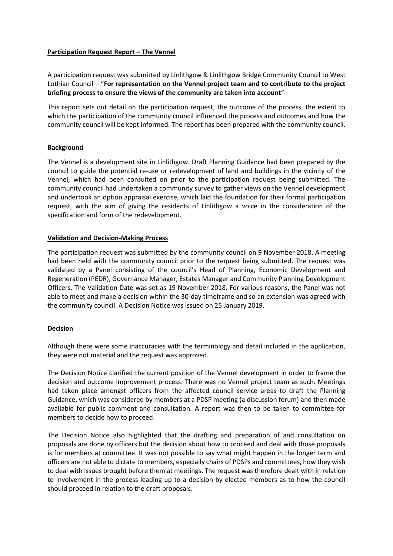# **Participation Request Report – The Vennel**

A participation request was submitted by Linlithgow & Linlithgow Bridge Community Council to West Lothian Council – "**For representation on the Vennel project team and to contribute to the project briefing process to ensure the views of the community are taken into account**"

This report sets out detail on the participation request, the outcome of the process, the extent to which the participation of the community council influenced the process and outcomes and how the community council will be kept informed. The report has been prepared with the community council.

## **Background**

The Vennel is a development site in Linlithgow. Draft Planning Guidance had been prepared by the council to guide the potential re-use or redevelopment of land and buildings in the vicinity of the Vennel, which had been consulted on prior to the participation request being submitted. The community council had undertaken a community survey to gather views on the Vennel development and undertook an option appraisal exercise, which laid the foundation for their formal participation request, with the aim of giving the residents of Linlithgow a voice in the consideration of the specification and form of the redevelopment.

## **Validation and Decision-Making Process**

The participation request was submitted by the community council on 9 November 2018. A meeting had been held with the community council prior to the request being submitted. The request was validated by a Panel consisting of the council's Head of Planning, Economic Development and Regeneration (PEDR), Governance Manager, Estates Manager and Community Planning Development Officers. The Validation Date was set as 19 November 2018. For various reasons, the Panel was not able to meet and make a decision within the 30-day timeframe and so an extension was agreed with the community council. A Decision Notice was issued on 25 January 2019.

# **Decision**

Although there were some inaccuracies with the terminology and detail included in the application, they were not material and the request was approved.

The Decision Notice clarified the current position of the Vennel development in order to frame the decision and outcome improvement process. There was no Vennel project team as such. Meetings had taken place amongst officers from the affected council service areas to draft the Planning Guidance, which was considered by members at a PDSP meeting (a discussion forum) and then made available for public comment and consultation. A report was then to be taken to committee for members to decide how to proceed.

The Decision Notice also highlighted that the drafting and preparation of and consultation on proposals are done by officers but the decision about how to proceed and deal with those proposals is for members at committee. It was not possible to say what might happen in the longer term and officers are not able to dictate to members, especially chairs of PDSPs and committees, how they wish to deal with issues brought before them at meetings. The request was therefore dealt with in relation to involvement in the process leading up to a decision by elected members as to how the council should proceed in relation to the draft proposals.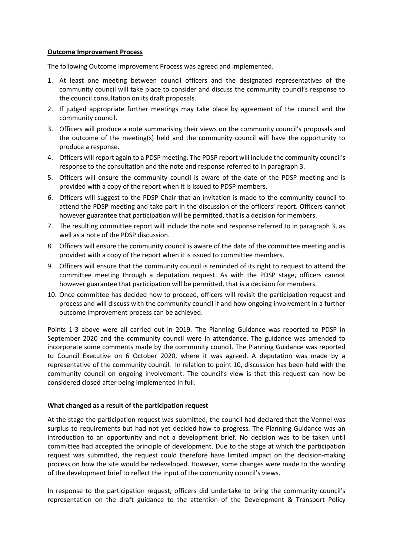## **Outcome Improvement Process**

The following Outcome Improvement Process was agreed and implemented.

- 1. At least one meeting between council officers and the designated representatives of the community council will take place to consider and discuss the community council's response to the council consultation on its draft proposals.
- 2. If judged appropriate further meetings may take place by agreement of the council and the community council.
- 3. Officers will produce a note summarising their views on the community council's proposals and the outcome of the meeting(s) held and the community council will have the opportunity to produce a response.
- 4. Officers will report again to a PDSP meeting. The PDSP report will include the community council's response to the consultation and the note and response referred to in paragraph 3.
- 5. Officers will ensure the community council is aware of the date of the PDSP meeting and is provided with a copy of the report when it is issued to PDSP members.
- 6. Officers will suggest to the PDSP Chair that an invitation is made to the community council to attend the PDSP meeting and take part in the discussion of the officers' report. Officers cannot however guarantee that participation will be permitted, that is a decision for members.
- 7. The resulting committee report will include the note and response referred to in paragraph 3, as well as a note of the PDSP discussion.
- 8. Officers will ensure the community council is aware of the date of the committee meeting and is provided with a copy of the report when it is issued to committee members.
- 9. Officers will ensure that the community council is reminded of its right to request to attend the committee meeting through a deputation request. As with the PDSP stage, officers cannot however guarantee that participation will be permitted, that is a decision for members.
- 10. Once committee has decided how to proceed, officers will revisit the participation request and process and will discuss with the community council if and how ongoing involvement in a further outcome improvement process can be achieved.

Points 1-3 above were all carried out in 2019. The Planning Guidance was reported to PDSP in September 2020 and the community council were in attendance. The guidance was amended to incorporate some comments made by the community council. The Planning Guidance was reported to Council Executive on 6 October 2020, where it was agreed. A deputation was made by a representative of the community council. In relation to point 10, discussion has been held with the community council on ongoing involvement. The council's view is that this request can now be considered closed after being implemented in full.

# **What changed as a result of the participation request**

At the stage the participation request was submitted, the council had declared that the Vennel was surplus to requirements but had not yet decided how to progress. The Planning Guidance was an introduction to an opportunity and not a development brief. No decision was to be taken until committee had accepted the principle of development. Due to the stage at which the participation request was submitted, the request could therefore have limited impact on the decision-making process on how the site would be redeveloped. However, some changes were made to the wording of the development brief to reflect the input of the community council's views.

In response to the participation request, officers did undertake to bring the community council's representation on the draft guidance to the attention of the Development & Transport Policy